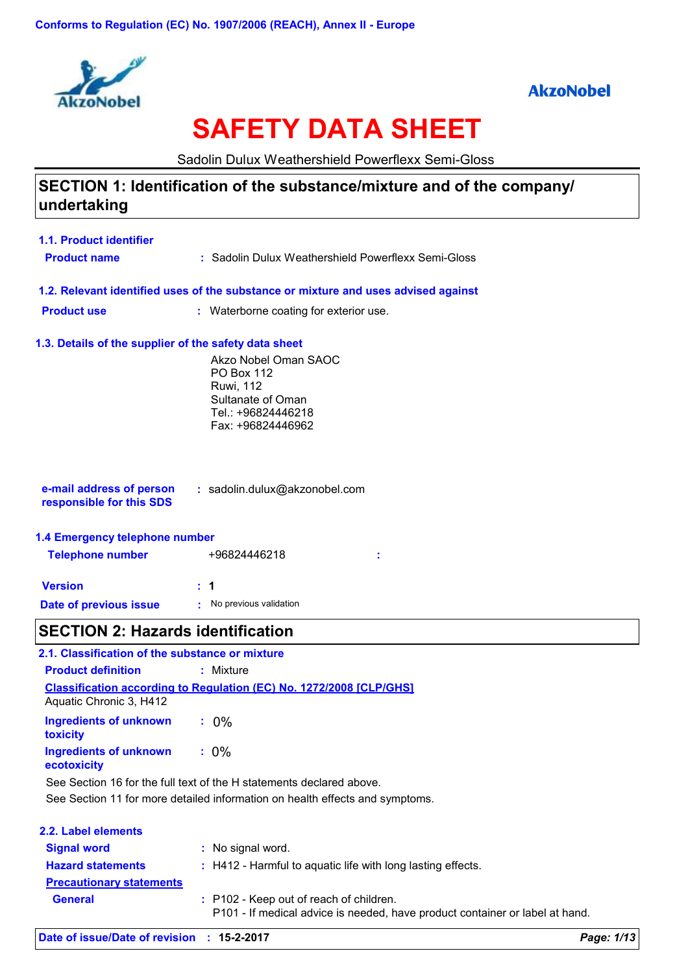



# **SAFETY DATA SHEET**

Sadolin Dulux Weathershield Powerflexx Semi-Gloss

### **SECTION 1: Identification of the substance/mixture and of the company/ undertaking**

| 1.1. Product identifier                               |                                                                                    |  |
|-------------------------------------------------------|------------------------------------------------------------------------------------|--|
| <b>Product name</b>                                   | : Sadolin Dulux Weathershield Powerflexx Semi-Gloss                                |  |
|                                                       | 1.2. Relevant identified uses of the substance or mixture and uses advised against |  |
| <b>Product use</b>                                    | : Waterborne coating for exterior use.                                             |  |
| 1.3. Details of the supplier of the safety data sheet |                                                                                    |  |
|                                                       | Akzo Nobel Oman SAOC<br><b>PO Box 112</b>                                          |  |
|                                                       | <b>Ruwi</b> , 112<br>Sultanate of Oman                                             |  |
|                                                       | Tel.: +96824446218                                                                 |  |
|                                                       | Fax: +96824446962                                                                  |  |
|                                                       |                                                                                    |  |
|                                                       |                                                                                    |  |
| e-mail address of person<br>responsible for this SDS  | : sadolin.dulux@akzonobel.com                                                      |  |
| 1.4 Emergency telephone number                        |                                                                                    |  |
| <b>Telephone number</b>                               | +96824446218                                                                       |  |
| <b>Version</b>                                        | $\mathbf 1$                                                                        |  |
| Date of previous issue                                | No previous validation                                                             |  |
| <b>SECTION 2: Hazards identification</b>              |                                                                                    |  |
| 2.1. Classification of the substance or mixture       |                                                                                    |  |
| <b>Product definition</b>                             | : Mixture                                                                          |  |
| Aquatic Chronic 3, H412                               | <b>Classification according to Regulation (EC) No. 1272/2008 [CLP/GHS]</b>         |  |
| <b>Ingredients of unknown</b><br>toxicity             | $: 0\%$                                                                            |  |
| <b>Ingredients of unknown</b><br>ecotoxicity          | $: 0\%$                                                                            |  |
|                                                       | See Section 16 for the full text of the H statements declared above.               |  |
|                                                       | See Section 11 for more detailed information on health effects and symptoms.       |  |

| 2.2. Label elements             |                                                                                                                         |
|---------------------------------|-------------------------------------------------------------------------------------------------------------------------|
| <b>Signal word</b>              | : No signal word.                                                                                                       |
| <b>Hazard statements</b>        | : H412 - Harmful to aquatic life with long lasting effects.                                                             |
| <b>Precautionary statements</b> |                                                                                                                         |
| <b>General</b>                  | : P102 - Keep out of reach of children.<br>P101 - If medical advice is needed, have product container or label at hand. |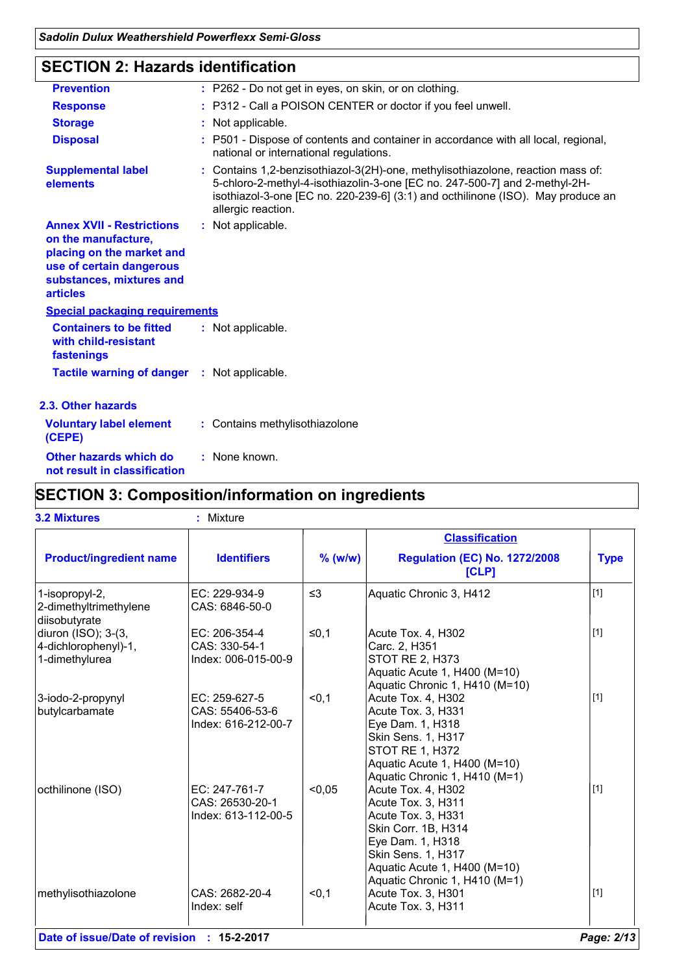### **SECTION 2: Hazards identification**

| <b>Prevention</b>                                                                                                                                               | : P262 - Do not get in eyes, on skin, or on clothing.                                                                                                                                                                                                                  |  |  |  |
|-----------------------------------------------------------------------------------------------------------------------------------------------------------------|------------------------------------------------------------------------------------------------------------------------------------------------------------------------------------------------------------------------------------------------------------------------|--|--|--|
| <b>Response</b>                                                                                                                                                 | : P312 - Call a POISON CENTER or doctor if you feel unwell.                                                                                                                                                                                                            |  |  |  |
| <b>Storage</b>                                                                                                                                                  | : Not applicable.                                                                                                                                                                                                                                                      |  |  |  |
| <b>Disposal</b>                                                                                                                                                 | : P501 - Dispose of contents and container in accordance with all local, regional,<br>national or international regulations.                                                                                                                                           |  |  |  |
| <b>Supplemental label</b><br>elements                                                                                                                           | : Contains 1,2-benzisothiazol-3(2H)-one, methylisothiazolone, reaction mass of:<br>5-chloro-2-methyl-4-isothiazolin-3-one [EC no. 247-500-7] and 2-methyl-2H-<br>isothiazol-3-one [EC no. 220-239-6] (3:1) and octhilinone (ISO). May produce an<br>allergic reaction. |  |  |  |
| <b>Annex XVII - Restrictions</b><br>on the manufacture,<br>placing on the market and<br>use of certain dangerous<br>substances, mixtures and<br><b>articles</b> | : Not applicable.                                                                                                                                                                                                                                                      |  |  |  |
| <b>Special packaging requirements</b>                                                                                                                           |                                                                                                                                                                                                                                                                        |  |  |  |
| <b>Containers to be fitted</b><br>with child-resistant<br>fastenings                                                                                            | : Not applicable.                                                                                                                                                                                                                                                      |  |  |  |
| <b>Tactile warning of danger : Not applicable.</b>                                                                                                              |                                                                                                                                                                                                                                                                        |  |  |  |
| 2.3. Other hazards                                                                                                                                              |                                                                                                                                                                                                                                                                        |  |  |  |
| <b>Voluntary label element</b><br>(CEPE)                                                                                                                        | : Contains methylisothiazolone                                                                                                                                                                                                                                         |  |  |  |
| Other hazards which do<br>not result in classification                                                                                                          | : None known.                                                                                                                                                                                                                                                          |  |  |  |

# **SECTION 3: Composition/information on ingredients**

|                                                               |                                                         |           | <b>Classification</b>                                                                                                                                                                            |             |
|---------------------------------------------------------------|---------------------------------------------------------|-----------|--------------------------------------------------------------------------------------------------------------------------------------------------------------------------------------------------|-------------|
| <b>Product/ingredient name</b>                                | <b>Identifiers</b>                                      | $%$ (w/w) | <b>Regulation (EC) No. 1272/2008</b><br>[CLP]                                                                                                                                                    | <b>Type</b> |
| 1-isopropyl-2,<br>2-dimethyltrimethylene<br>diisobutyrate     | EC: 229-934-9<br>CAS: 6846-50-0                         | $\leq$ 3  | Aquatic Chronic 3, H412                                                                                                                                                                          | [1]         |
| diuron (ISO); 3-(3,<br>4-dichlorophenyl)-1,<br>1-dimethylurea | EC: 206-354-4<br>CAS: 330-54-1<br>Index: 006-015-00-9   | $≤0,1$    | Acute Tox. 4, H302<br>Carc. 2, H351<br><b>STOT RE 2, H373</b><br>Aquatic Acute 1, H400 (M=10)<br>Aquatic Chronic 1, H410 (M=10)                                                                  | $\vert$ [1] |
| 3-iodo-2-propynyl<br>butylcarbamate                           | EC: 259-627-5<br>CAS: 55406-53-6<br>Index: 616-212-00-7 | < 0, 1    | Acute Tox. 4, H302<br>Acute Tox. 3, H331<br>Eye Dam. 1, H318<br>Skin Sens. 1, H317<br>STOT RE 1, H372<br>Aquatic Acute 1, H400 (M=10)<br>Aquatic Chronic 1, H410 (M=1)                           | $\vert$ [1] |
| octhilinone (ISO)                                             | EC: 247-761-7<br>CAS: 26530-20-1<br>Index: 613-112-00-5 | < 0.05    | Acute Tox. 4, H302<br>Acute Tox. 3, H311<br>Acute Tox. 3, H331<br>Skin Corr. 1B, H314<br>Eye Dam. 1, H318<br>Skin Sens. 1, H317<br>Aquatic Acute 1, H400 (M=10)<br>Aquatic Chronic 1, H410 (M=1) | $[1]$       |
| methylisothiazolone                                           | CAS: 2682-20-4<br>Index: self                           | < 0, 1    | Acute Tox. 3, H301<br>Acute Tox. 3, H311                                                                                                                                                         | $[1]$       |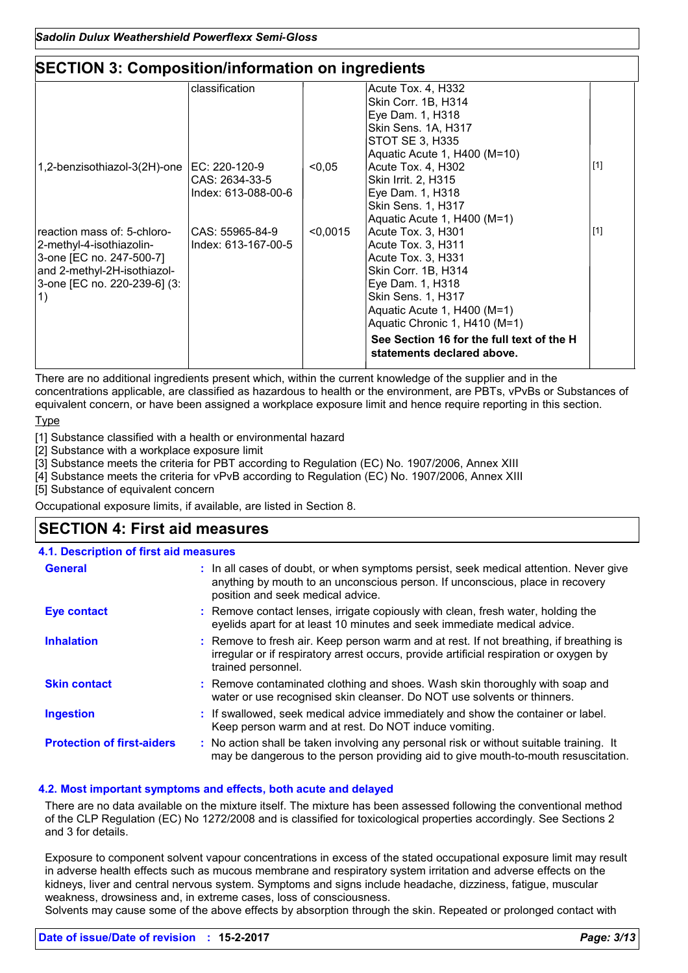### **SECTION 3: Composition/information on ingredients**

|                                                                                                                                                          | classification                                         |          | Acute Tox. 4, H332<br>Skin Corr. 1B, H314<br>Eye Dam. 1, H318<br>Skin Sens. 1A, H317<br>STOT SE 3, H335<br>Aquatic Acute 1, H400 (M=10)                                                                                                                                    |       |
|----------------------------------------------------------------------------------------------------------------------------------------------------------|--------------------------------------------------------|----------|----------------------------------------------------------------------------------------------------------------------------------------------------------------------------------------------------------------------------------------------------------------------------|-------|
| 1,2-benzisothiazol-3(2H)-one                                                                                                                             | EC: 220-120-9<br>CAS: 2634-33-5<br>Index: 613-088-00-6 | < 0.05   | Acute Tox. 4, H302<br>Skin Irrit. 2, H315<br>Eye Dam. 1, H318<br><b>Skin Sens. 1, H317</b><br>Aquatic Acute 1, H400 (M=1)                                                                                                                                                  | $[1]$ |
| reaction mass of: 5-chloro-<br>2-methyl-4-isothiazolin-<br>3-one [EC no. 247-500-7]<br>and 2-methyl-2H-isothiazol-<br>3-one [EC no. 220-239-6] (3:<br>1) | CAS: 55965-84-9<br>Index: 613-167-00-5                 | < 0,0015 | Acute Tox. 3, H301<br>Acute Tox. 3, H311<br>Acute Tox. 3, H331<br>Skin Corr. 1B, H314<br>Eye Dam. 1, H318<br>Skin Sens. 1, H317<br>Aquatic Acute 1, H400 (M=1)<br>Aquatic Chronic 1, H410 (M=1)<br>See Section 16 for the full text of the H<br>statements declared above. | $[1]$ |

There are no additional ingredients present which, within the current knowledge of the supplier and in the concentrations applicable, are classified as hazardous to health or the environment, are PBTs, vPvBs or Substances of equivalent concern, or have been assigned a workplace exposure limit and hence require reporting in this section.

Type

[1] Substance classified with a health or environmental hazard

[2] Substance with a workplace exposure limit

[3] Substance meets the criteria for PBT according to Regulation (EC) No. 1907/2006, Annex XIII

[4] Substance meets the criteria for vPvB according to Regulation (EC) No. 1907/2006, Annex XIII

[5] Substance of equivalent concern

Occupational exposure limits, if available, are listed in Section 8.

### **SECTION 4: First aid measures**

#### **:** If swallowed, seek medical advice immediately and show the container or label. Keep person warm and at rest. Do NOT induce vomiting. Remove contact lenses, irrigate copiously with clean, fresh water, holding the **:** eyelids apart for at least 10 minutes and seek immediate medical advice. Remove contaminated clothing and shoes. Wash skin thoroughly with soap and **:** water or use recognised skin cleanser. Do NOT use solvents or thinners. **:** Remove to fresh air. Keep person warm and at rest. If not breathing, if breathing is irregular or if respiratory arrest occurs, provide artificial respiration or oxygen by trained personnel. General **In all cases of doubt, or when symptoms persist, seek medical attention. Never give <b>General** anything by mouth to an unconscious person. If unconscious, place in recovery position and seek medical advice. **Skin contact 4.1. Description of first aid measures Ingestion Inhalation Eye contact Protection of first-aiders** : No action shall be taken involving any personal risk or without suitable training. It may be dangerous to the person providing aid to give mouth-to-mouth resuscitation.

#### **4.2. Most important symptoms and effects, both acute and delayed**

There are no data available on the mixture itself. The mixture has been assessed following the conventional method of the CLP Regulation (EC) No 1272/2008 and is classified for toxicological properties accordingly. See Sections 2 and 3 for details.

Exposure to component solvent vapour concentrations in excess of the stated occupational exposure limit may result in adverse health effects such as mucous membrane and respiratory system irritation and adverse effects on the kidneys, liver and central nervous system. Symptoms and signs include headache, dizziness, fatigue, muscular weakness, drowsiness and, in extreme cases, loss of consciousness.

Solvents may cause some of the above effects by absorption through the skin. Repeated or prolonged contact with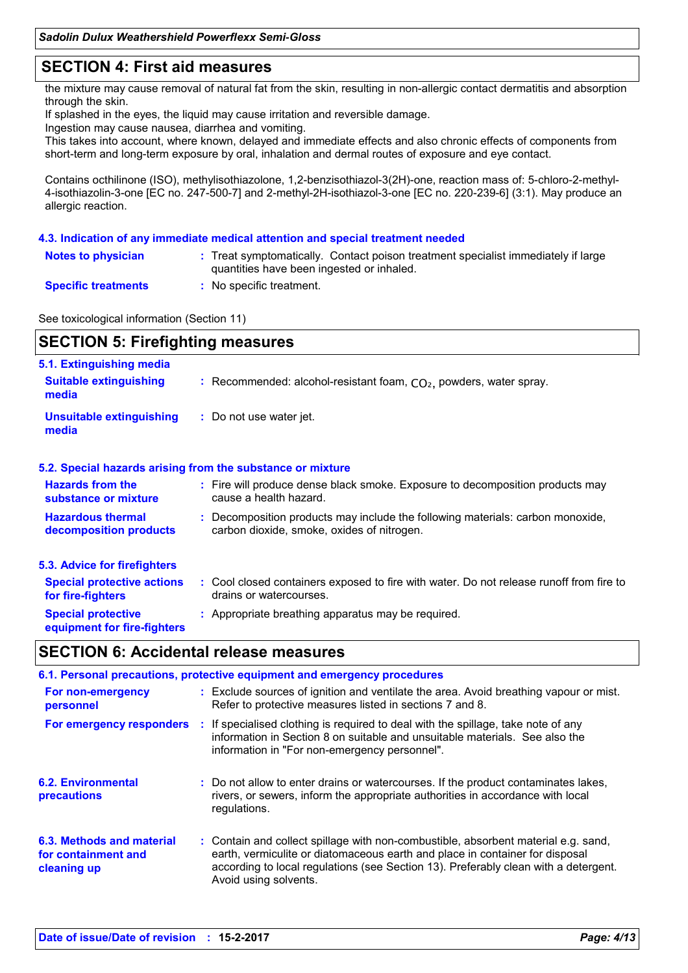### **SECTION 4: First aid measures**

the mixture may cause removal of natural fat from the skin, resulting in non-allergic contact dermatitis and absorption through the skin.

If splashed in the eyes, the liquid may cause irritation and reversible damage.

Ingestion may cause nausea, diarrhea and vomiting.

This takes into account, where known, delayed and immediate effects and also chronic effects of components from short-term and long-term exposure by oral, inhalation and dermal routes of exposure and eye contact.

Contains octhilinone (ISO), methylisothiazolone, 1,2-benzisothiazol-3(2H)-one, reaction mass of: 5-chloro-2-methyl-4-isothiazolin-3-one [EC no. 247-500-7] and 2-methyl-2H-isothiazol-3-one [EC no. 220-239-6] (3:1). May produce an allergic reaction.

#### **4.3. Indication of any immediate medical attention and special treatment needed**

| <b>Notes to physician</b>  | : Treat symptomatically. Contact poison treatment specialist immediately if large |
|----------------------------|-----------------------------------------------------------------------------------|
|                            | quantities have been ingested or inhaled.                                         |
| <b>Specific treatments</b> | No specific treatment.                                                            |

See toxicological information (Section 11)

| <b>SECTION 5: Firefighting measures</b>                            |                                                                                                                              |  |  |  |
|--------------------------------------------------------------------|------------------------------------------------------------------------------------------------------------------------------|--|--|--|
| 5.1. Extinguishing media<br><b>Suitable extinguishing</b><br>media | : Recommended: alcohol-resistant foam, $CO2$ , powders, water spray.                                                         |  |  |  |
| <b>Unsuitable extinguishing</b><br>media                           | : Do not use water jet.                                                                                                      |  |  |  |
|                                                                    | 5.2. Special hazards arising from the substance or mixture                                                                   |  |  |  |
| <b>Hazards from the</b><br>substance or mixture                    | : Fire will produce dense black smoke. Exposure to decomposition products may<br>cause a health hazard.                      |  |  |  |
| <b>Hazardous thermal</b><br>decomposition products                 | : Decomposition products may include the following materials: carbon monoxide,<br>carbon dioxide, smoke, oxides of nitrogen. |  |  |  |
| 5.3. Advice for firefighters                                       |                                                                                                                              |  |  |  |
| <b>Special protective actions</b><br>for fire-fighters             | : Cool closed containers exposed to fire with water. Do not release runoff from fire to<br>drains or watercourses.           |  |  |  |
| <b>Special protective</b><br>equipment for fire-fighters           | : Appropriate breathing apparatus may be required.                                                                           |  |  |  |

### **SECTION 6: Accidental release measures**

| 6.1. Personal precautions, protective equipment and emergency procedures |  |                                                                                                                                                                                                                                                                                    |  |  |
|--------------------------------------------------------------------------|--|------------------------------------------------------------------------------------------------------------------------------------------------------------------------------------------------------------------------------------------------------------------------------------|--|--|
| For non-emergency<br>personnel                                           |  | : Exclude sources of ignition and ventilate the area. Avoid breathing vapour or mist.<br>Refer to protective measures listed in sections 7 and 8.                                                                                                                                  |  |  |
|                                                                          |  | For emergency responders : If specialised clothing is required to deal with the spillage, take note of any<br>information in Section 8 on suitable and unsuitable materials. See also the<br>information in "For non-emergency personnel".                                         |  |  |
| <b>6.2. Environmental</b><br><b>precautions</b>                          |  | : Do not allow to enter drains or watercourses. If the product contaminates lakes,<br>rivers, or sewers, inform the appropriate authorities in accordance with local<br>regulations.                                                                                               |  |  |
| 6.3. Methods and material<br>for containment and<br>cleaning up          |  | : Contain and collect spillage with non-combustible, absorbent material e.g. sand,<br>earth, vermiculite or diatomaceous earth and place in container for disposal<br>according to local regulations (see Section 13). Preferably clean with a detergent.<br>Avoid using solvents. |  |  |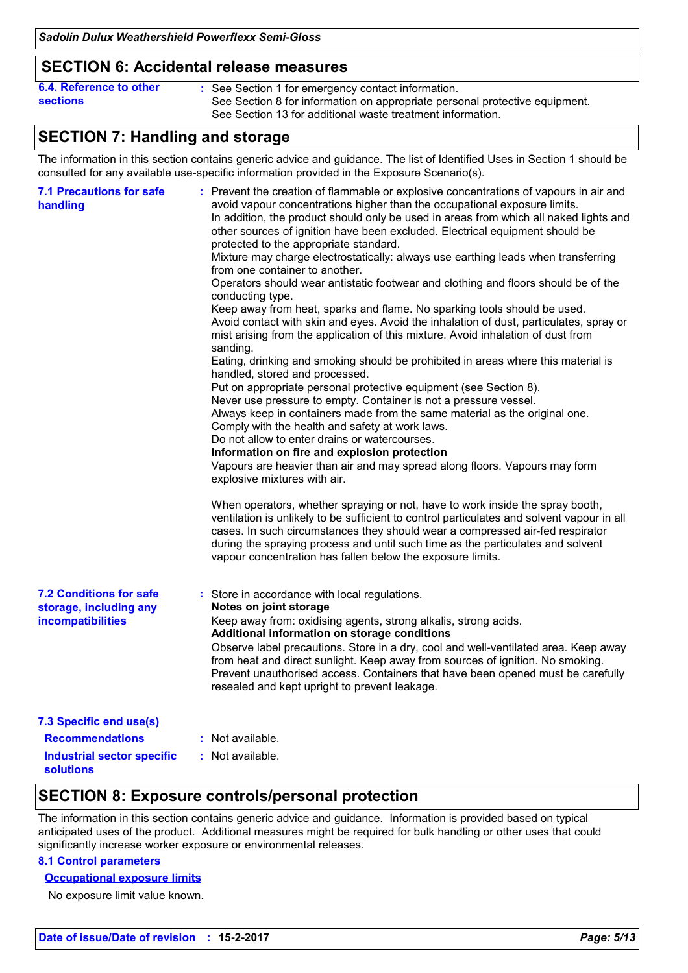### **SECTION 6: Accidental release measures**

| 6.4. Reference to other | : See Section 1 for emergency contact information.                          |
|-------------------------|-----------------------------------------------------------------------------|
| <b>sections</b>         | See Section 8 for information on appropriate personal protective equipment. |
|                         | See Section 13 for additional waste treatment information.                  |

### **SECTION 7: Handling and storage**

The information in this section contains generic advice and guidance. The list of Identified Uses in Section 1 should be consulted for any available use-specific information provided in the Exposure Scenario(s).

| <b>7.1 Precautions for safe</b><br>handling                                   | : Prevent the creation of flammable or explosive concentrations of vapours in air and<br>avoid vapour concentrations higher than the occupational exposure limits.<br>In addition, the product should only be used in areas from which all naked lights and<br>other sources of ignition have been excluded. Electrical equipment should be<br>protected to the appropriate standard.<br>Mixture may charge electrostatically: always use earthing leads when transferring<br>from one container to another.<br>Operators should wear antistatic footwear and clothing and floors should be of the<br>conducting type.<br>Keep away from heat, sparks and flame. No sparking tools should be used.<br>Avoid contact with skin and eyes. Avoid the inhalation of dust, particulates, spray or<br>mist arising from the application of this mixture. Avoid inhalation of dust from<br>sanding.<br>Eating, drinking and smoking should be prohibited in areas where this material is<br>handled, stored and processed.<br>Put on appropriate personal protective equipment (see Section 8).<br>Never use pressure to empty. Container is not a pressure vessel.<br>Always keep in containers made from the same material as the original one.<br>Comply with the health and safety at work laws.<br>Do not allow to enter drains or watercourses.<br>Information on fire and explosion protection<br>Vapours are heavier than air and may spread along floors. Vapours may form<br>explosive mixtures with air.<br>When operators, whether spraying or not, have to work inside the spray booth,<br>ventilation is unlikely to be sufficient to control particulates and solvent vapour in all<br>cases. In such circumstances they should wear a compressed air-fed respirator<br>during the spraying process and until such time as the particulates and solvent |
|-------------------------------------------------------------------------------|-----------------------------------------------------------------------------------------------------------------------------------------------------------------------------------------------------------------------------------------------------------------------------------------------------------------------------------------------------------------------------------------------------------------------------------------------------------------------------------------------------------------------------------------------------------------------------------------------------------------------------------------------------------------------------------------------------------------------------------------------------------------------------------------------------------------------------------------------------------------------------------------------------------------------------------------------------------------------------------------------------------------------------------------------------------------------------------------------------------------------------------------------------------------------------------------------------------------------------------------------------------------------------------------------------------------------------------------------------------------------------------------------------------------------------------------------------------------------------------------------------------------------------------------------------------------------------------------------------------------------------------------------------------------------------------------------------------------------------------------------------------------------------------------------------------------------------------------------------------------|
| <b>7.2 Conditions for safe</b><br>storage, including any<br>incompatibilities | vapour concentration has fallen below the exposure limits.<br>: Store in accordance with local regulations.<br>Notes on joint storage<br>Keep away from: oxidising agents, strong alkalis, strong acids.<br>Additional information on storage conditions<br>Observe label precautions. Store in a dry, cool and well-ventilated area. Keep away<br>from heat and direct sunlight. Keep away from sources of ignition. No smoking.<br>Prevent unauthorised access. Containers that have been opened must be carefully<br>resealed and kept upright to prevent leakage.                                                                                                                                                                                                                                                                                                                                                                                                                                                                                                                                                                                                                                                                                                                                                                                                                                                                                                                                                                                                                                                                                                                                                                                                                                                                                           |
| 7.3 Specific end use(s)                                                       |                                                                                                                                                                                                                                                                                                                                                                                                                                                                                                                                                                                                                                                                                                                                                                                                                                                                                                                                                                                                                                                                                                                                                                                                                                                                                                                                                                                                                                                                                                                                                                                                                                                                                                                                                                                                                                                                 |
| <b>Recommendations</b>                                                        | : Not available.                                                                                                                                                                                                                                                                                                                                                                                                                                                                                                                                                                                                                                                                                                                                                                                                                                                                                                                                                                                                                                                                                                                                                                                                                                                                                                                                                                                                                                                                                                                                                                                                                                                                                                                                                                                                                                                |
| <b>Industrial sector specific</b><br>solutions                                | : Not available.                                                                                                                                                                                                                                                                                                                                                                                                                                                                                                                                                                                                                                                                                                                                                                                                                                                                                                                                                                                                                                                                                                                                                                                                                                                                                                                                                                                                                                                                                                                                                                                                                                                                                                                                                                                                                                                |

### **SECTION 8: Exposure controls/personal protection**

The information in this section contains generic advice and guidance. Information is provided based on typical anticipated uses of the product. Additional measures might be required for bulk handling or other uses that could significantly increase worker exposure or environmental releases.

#### **8.1 Control parameters**

#### **Occupational exposure limits**

No exposure limit value known.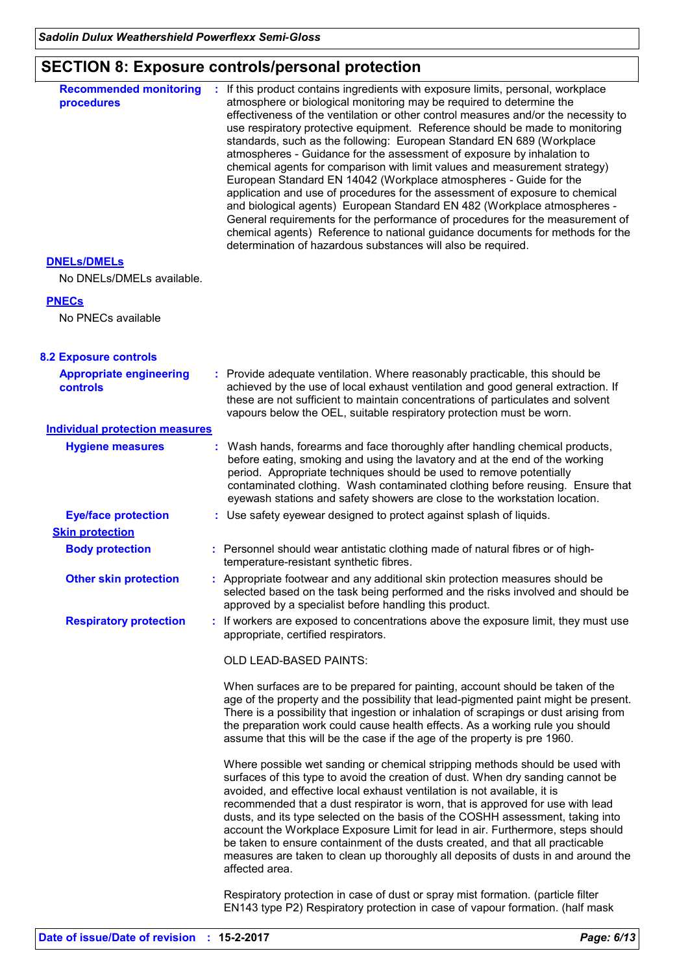# **SECTION 8: Exposure controls/personal protection**

| <b>Recommended monitoring</b>                   | If this product contains ingredients with exposure limits, personal, workplace                                                                                                                                                                                                                                                                                                                                                                                                                                                                                                                                                                                                                                                                                                                                                                                                                                                                 |
|-------------------------------------------------|------------------------------------------------------------------------------------------------------------------------------------------------------------------------------------------------------------------------------------------------------------------------------------------------------------------------------------------------------------------------------------------------------------------------------------------------------------------------------------------------------------------------------------------------------------------------------------------------------------------------------------------------------------------------------------------------------------------------------------------------------------------------------------------------------------------------------------------------------------------------------------------------------------------------------------------------|
| procedures                                      | atmosphere or biological monitoring may be required to determine the<br>effectiveness of the ventilation or other control measures and/or the necessity to<br>use respiratory protective equipment. Reference should be made to monitoring<br>standards, such as the following: European Standard EN 689 (Workplace<br>atmospheres - Guidance for the assessment of exposure by inhalation to<br>chemical agents for comparison with limit values and measurement strategy)<br>European Standard EN 14042 (Workplace atmospheres - Guide for the<br>application and use of procedures for the assessment of exposure to chemical<br>and biological agents) European Standard EN 482 (Workplace atmospheres -<br>General requirements for the performance of procedures for the measurement of<br>chemical agents) Reference to national guidance documents for methods for the<br>determination of hazardous substances will also be required. |
| <b>DNELS/DMELS</b><br>No DNELs/DMELs available. |                                                                                                                                                                                                                                                                                                                                                                                                                                                                                                                                                                                                                                                                                                                                                                                                                                                                                                                                                |
|                                                 |                                                                                                                                                                                                                                                                                                                                                                                                                                                                                                                                                                                                                                                                                                                                                                                                                                                                                                                                                |
| <b>PNECs</b><br>No PNECs available              |                                                                                                                                                                                                                                                                                                                                                                                                                                                                                                                                                                                                                                                                                                                                                                                                                                                                                                                                                |
| <b>8.2 Exposure controls</b>                    |                                                                                                                                                                                                                                                                                                                                                                                                                                                                                                                                                                                                                                                                                                                                                                                                                                                                                                                                                |
| <b>Appropriate engineering</b><br>controls      | : Provide adequate ventilation. Where reasonably practicable, this should be<br>achieved by the use of local exhaust ventilation and good general extraction. If<br>these are not sufficient to maintain concentrations of particulates and solvent<br>vapours below the OEL, suitable respiratory protection must be worn.                                                                                                                                                                                                                                                                                                                                                                                                                                                                                                                                                                                                                    |
| <b>Individual protection measures</b>           |                                                                                                                                                                                                                                                                                                                                                                                                                                                                                                                                                                                                                                                                                                                                                                                                                                                                                                                                                |
| <b>Hygiene measures</b>                         | Wash hands, forearms and face thoroughly after handling chemical products,<br>before eating, smoking and using the lavatory and at the end of the working<br>period. Appropriate techniques should be used to remove potentially<br>contaminated clothing. Wash contaminated clothing before reusing. Ensure that<br>eyewash stations and safety showers are close to the workstation location.                                                                                                                                                                                                                                                                                                                                                                                                                                                                                                                                                |
| <b>Eye/face protection</b>                      | : Use safety eyewear designed to protect against splash of liquids.                                                                                                                                                                                                                                                                                                                                                                                                                                                                                                                                                                                                                                                                                                                                                                                                                                                                            |
| <b>Skin protection</b>                          |                                                                                                                                                                                                                                                                                                                                                                                                                                                                                                                                                                                                                                                                                                                                                                                                                                                                                                                                                |
| <b>Body protection</b>                          | : Personnel should wear antistatic clothing made of natural fibres or of high-<br>temperature-resistant synthetic fibres.                                                                                                                                                                                                                                                                                                                                                                                                                                                                                                                                                                                                                                                                                                                                                                                                                      |
| <b>Other skin protection</b>                    | : Appropriate footwear and any additional skin protection measures should be<br>selected based on the task being performed and the risks involved and should be<br>approved by a specialist before handling this product.                                                                                                                                                                                                                                                                                                                                                                                                                                                                                                                                                                                                                                                                                                                      |
| <b>Respiratory protection</b>                   | : If workers are exposed to concentrations above the exposure limit, they must use<br>appropriate, certified respirators.                                                                                                                                                                                                                                                                                                                                                                                                                                                                                                                                                                                                                                                                                                                                                                                                                      |
|                                                 | OLD LEAD-BASED PAINTS:                                                                                                                                                                                                                                                                                                                                                                                                                                                                                                                                                                                                                                                                                                                                                                                                                                                                                                                         |
|                                                 | When surfaces are to be prepared for painting, account should be taken of the<br>age of the property and the possibility that lead-pigmented paint might be present.<br>There is a possibility that ingestion or inhalation of scrapings or dust arising from<br>the preparation work could cause health effects. As a working rule you should<br>assume that this will be the case if the age of the property is pre 1960.                                                                                                                                                                                                                                                                                                                                                                                                                                                                                                                    |
|                                                 | Where possible wet sanding or chemical stripping methods should be used with<br>surfaces of this type to avoid the creation of dust. When dry sanding cannot be<br>avoided, and effective local exhaust ventilation is not available, it is<br>recommended that a dust respirator is worn, that is approved for use with lead<br>dusts, and its type selected on the basis of the COSHH assessment, taking into<br>account the Workplace Exposure Limit for lead in air. Furthermore, steps should<br>be taken to ensure containment of the dusts created, and that all practicable<br>measures are taken to clean up thoroughly all deposits of dusts in and around the<br>affected area.                                                                                                                                                                                                                                                     |
|                                                 | Respiratory protection in case of dust or spray mist formation. (particle filter<br>EN143 type P2) Respiratory protection in case of vapour formation. (half mask                                                                                                                                                                                                                                                                                                                                                                                                                                                                                                                                                                                                                                                                                                                                                                              |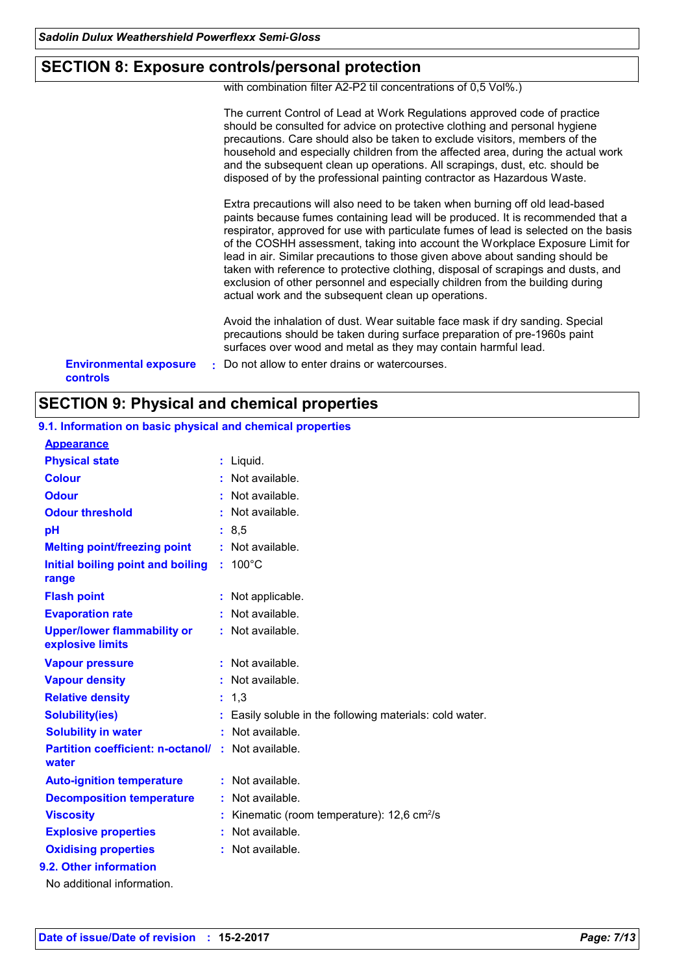### **SECTION 8: Exposure controls/personal protection**

with combination filter A2-P2 til concentrations of 0,5 Vol%.)

| <b>SECTION 9: Physical and chemical properties</b> |                                                                                                                                                                                                                                                                                                                                                                                                                                                                                                                                                                                                                                                        |  |  |
|----------------------------------------------------|--------------------------------------------------------------------------------------------------------------------------------------------------------------------------------------------------------------------------------------------------------------------------------------------------------------------------------------------------------------------------------------------------------------------------------------------------------------------------------------------------------------------------------------------------------------------------------------------------------------------------------------------------------|--|--|
| <b>Environmental exposure</b><br><b>controls</b>   | Do not allow to enter drains or watercourses.                                                                                                                                                                                                                                                                                                                                                                                                                                                                                                                                                                                                          |  |  |
|                                                    | Avoid the inhalation of dust. Wear suitable face mask if dry sanding. Special<br>precautions should be taken during surface preparation of pre-1960s paint<br>surfaces over wood and metal as they may contain harmful lead.                                                                                                                                                                                                                                                                                                                                                                                                                           |  |  |
|                                                    | Extra precautions will also need to be taken when burning off old lead-based<br>paints because fumes containing lead will be produced. It is recommended that a<br>respirator, approved for use with particulate fumes of lead is selected on the basis<br>of the COSHH assessment, taking into account the Workplace Exposure Limit for<br>lead in air. Similar precautions to those given above about sanding should be<br>taken with reference to protective clothing, disposal of scrapings and dusts, and<br>exclusion of other personnel and especially children from the building during<br>actual work and the subsequent clean up operations. |  |  |
|                                                    | The current Control of Lead at Work Regulations approved code of practice<br>should be consulted for advice on protective clothing and personal hygiene<br>precautions. Care should also be taken to exclude visitors, members of the<br>household and especially children from the affected area, during the actual work<br>and the subsequent clean up operations. All scrapings, dust, etc. should be<br>disposed of by the professional painting contractor as Hazardous Waste.                                                                                                                                                                    |  |  |

| 9.1. Information on basic physical and chemical properties |    |                                                        |
|------------------------------------------------------------|----|--------------------------------------------------------|
| <b>Appearance</b>                                          |    |                                                        |
| <b>Physical state</b>                                      |    | : Liquid.                                              |
| <b>Colour</b>                                              |    | Not available.                                         |
| <b>Odour</b>                                               |    | Not available.                                         |
| <b>Odour threshold</b>                                     |    | Not available.                                         |
| pH                                                         |    | : 8,5                                                  |
| <b>Melting point/freezing point</b>                        |    | : Not available.                                       |
| Initial boiling point and boiling                          |    | $100^{\circ}$ C                                        |
| range                                                      |    |                                                        |
| <b>Flash point</b>                                         | ÷. | Not applicable.                                        |
| <b>Evaporation rate</b>                                    |    | Not available.                                         |
| <b>Upper/lower flammability or</b><br>explosive limits     |    | : Not available.                                       |
| <b>Vapour pressure</b>                                     | t. | Not available.                                         |
| <b>Vapour density</b>                                      |    | Not available.                                         |
| <b>Relative density</b>                                    |    | 1,3                                                    |
| <b>Solubility(ies)</b>                                     |    | Easily soluble in the following materials: cold water. |
| <b>Solubility in water</b>                                 |    | $:$ Not available.                                     |
| <b>Partition coefficient: n-octanol/</b><br>water          |    | : Not available.                                       |
| <b>Auto-ignition temperature</b>                           |    | : Not available.                                       |
| <b>Decomposition temperature</b>                           |    | Not available.                                         |
| <b>Viscosity</b>                                           |    | Kinematic (room temperature): 12,6 cm <sup>2</sup> /s  |
| <b>Explosive properties</b>                                |    | Not available.                                         |
| <b>Oxidising properties</b>                                |    | Not available.                                         |
| 9.2. Other information                                     |    |                                                        |

No additional information.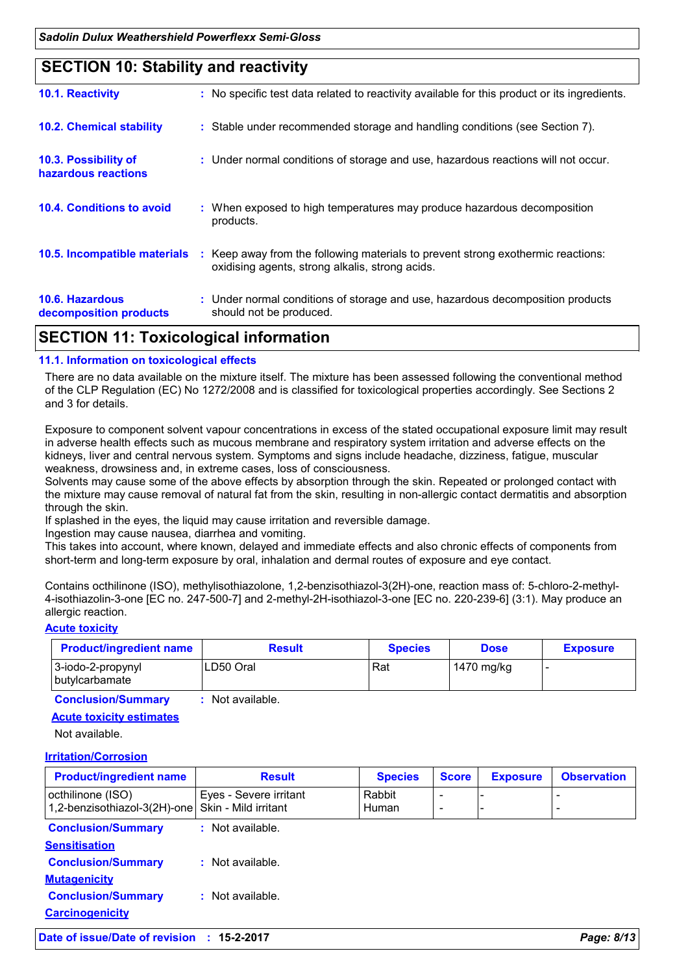### **SECTION 10: Stability and reactivity**

| APATIAN JJ T I I I I I I I I II             |                                                                                                                                     |
|---------------------------------------------|-------------------------------------------------------------------------------------------------------------------------------------|
| 10.6. Hazardous<br>decomposition products   | : Under normal conditions of storage and use, hazardous decomposition products<br>should not be produced.                           |
| 10.5. Incompatible materials                | : Keep away from the following materials to prevent strong exothermic reactions:<br>oxidising agents, strong alkalis, strong acids. |
| 10.4. Conditions to avoid                   | : When exposed to high temperatures may produce hazardous decomposition<br>products.                                                |
| 10.3. Possibility of<br>hazardous reactions | : Under normal conditions of storage and use, hazardous reactions will not occur.                                                   |
| <b>10.2. Chemical stability</b>             | : Stable under recommended storage and handling conditions (see Section 7).                                                         |
| 10.1. Reactivity                            | : No specific test data related to reactivity available for this product or its ingredients.                                        |
|                                             |                                                                                                                                     |

### **SECTION 11: Toxicological information**

#### **11.1. Information on toxicological effects**

There are no data available on the mixture itself. The mixture has been assessed following the conventional method of the CLP Regulation (EC) No 1272/2008 and is classified for toxicological properties accordingly. See Sections 2 and 3 for details.

Exposure to component solvent vapour concentrations in excess of the stated occupational exposure limit may result in adverse health effects such as mucous membrane and respiratory system irritation and adverse effects on the kidneys, liver and central nervous system. Symptoms and signs include headache, dizziness, fatigue, muscular weakness, drowsiness and, in extreme cases, loss of consciousness.

Solvents may cause some of the above effects by absorption through the skin. Repeated or prolonged contact with the mixture may cause removal of natural fat from the skin, resulting in non-allergic contact dermatitis and absorption through the skin.

If splashed in the eyes, the liquid may cause irritation and reversible damage.

Ingestion may cause nausea, diarrhea and vomiting.

This takes into account, where known, delayed and immediate effects and also chronic effects of components from short-term and long-term exposure by oral, inhalation and dermal routes of exposure and eye contact.

Contains octhilinone (ISO), methylisothiazolone, 1,2-benzisothiazol-3(2H)-one, reaction mass of: 5-chloro-2-methyl-4-isothiazolin-3-one [EC no. 247-500-7] and 2-methyl-2H-isothiazol-3-one [EC no. 220-239-6] (3:1). May produce an allergic reaction.

#### **Acute toxicity**

| <b>Product/ingredient name</b>        | <b>Result</b> | <b>Species</b> | <b>Dose</b> | <b>Exposure</b> |
|---------------------------------------|---------------|----------------|-------------|-----------------|
| 3-iodo-2-propynyl<br>  butylcarbamate | LD50 Oral     | Rat            | 1470 mg/kg  |                 |

**Conclusion/Summary :** Not available.

#### **Acute toxicity estimates**

Not available.

#### **Irritation/Corrosion**

| <b>Product/ingredient name</b>                    | <b>Result</b>                                  | <b>Species</b>         | <b>Score</b> | <b>Exposure</b> | <b>Observation</b> |
|---------------------------------------------------|------------------------------------------------|------------------------|--------------|-----------------|--------------------|
| octhilinone (ISO)<br>1,2-benzisothiazol-3(2H)-one | Eyes - Severe irritant<br>Skin - Mild irritant | Rabbit<br><b>Human</b> | -<br>-       |                 |                    |
| <b>Conclusion/Summary</b>                         | $:$ Not available.                             |                        |              |                 |                    |
| <b>Sensitisation</b>                              |                                                |                        |              |                 |                    |
| <b>Conclusion/Summary</b>                         | : Not available.                               |                        |              |                 |                    |
| <b>Mutagenicity</b>                               |                                                |                        |              |                 |                    |
| <b>Conclusion/Summary</b>                         | $:$ Not available.                             |                        |              |                 |                    |
| <b>Carcinogenicity</b>                            |                                                |                        |              |                 |                    |

**Date of issue/Date of revision : 15-2-2017** *Page: 8/13*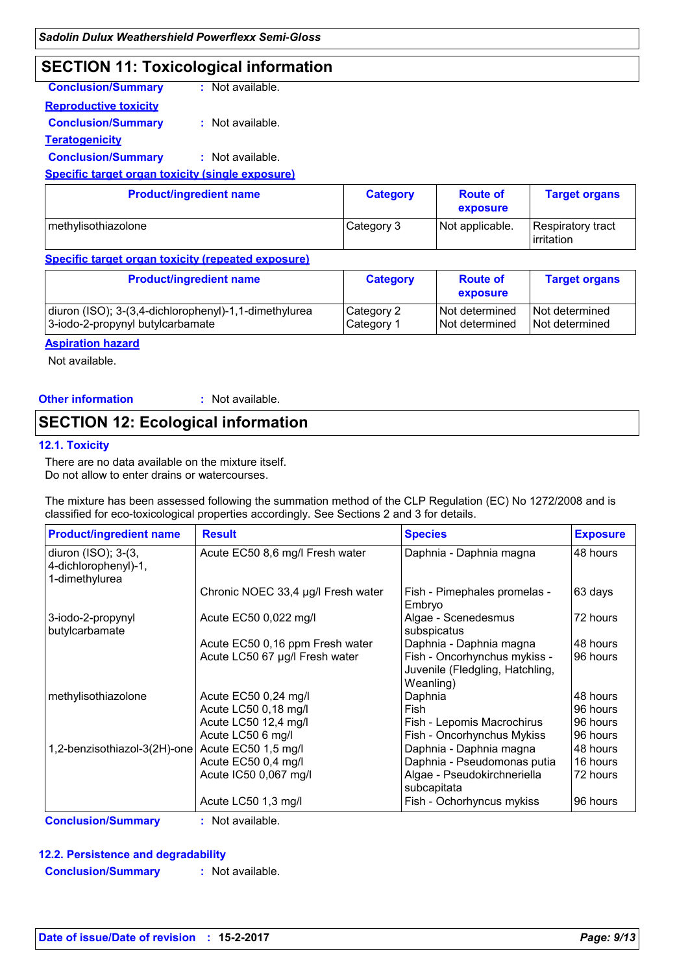### **SECTION 11: Toxicological information**

| <b>Conclusion/Summary</b>                               | $:$ Not available. |
|---------------------------------------------------------|--------------------|
| <u>Reproductive toxicity</u>                            |                    |
| <b>Conclusion/Summary</b>                               | $:$ Not available. |
| Teratogenicity                                          |                    |
| <b>Conclusion/Summary</b>                               | : Not available.   |
| <b>Specific target organ toxicity (single exposure)</b> |                    |

| <b>Product/ingredient name</b> | <b>Category</b> | <b>Route of</b><br>exposure | <b>Target organs</b>            |
|--------------------------------|-----------------|-----------------------------|---------------------------------|
| methylisothiazolone            | Category 3      | Not applicable.             | Respiratory tract<br>irritation |

#### **Specific target organ toxicity (repeated exposure)**

| <b>Product/ingredient name</b>                        | <b>Category</b> | <b>Route of</b><br>exposure | <b>Target organs</b> |
|-------------------------------------------------------|-----------------|-----------------------------|----------------------|
| diuron (ISO); 3-(3,4-dichlorophenyl)-1,1-dimethylurea | Category 2      | Not determined              | I Not determined     |
| 3-iodo-2-propynyl butylcarbamate                      | Category 1      | Not determined              | I Not determined     |

#### **Aspiration hazard**

Not available.

**Other information :** : Not available.

# **SECTION 12: Ecological information**

### **12.1. Toxicity**

There are no data available on the mixture itself. Do not allow to enter drains or watercourses.

The mixture has been assessed following the summation method of the CLP Regulation (EC) No 1272/2008 and is classified for eco-toxicological properties accordingly. See Sections 2 and 3 for details.

| <b>Product/ingredient name</b>                                | <b>Result</b>                      | <b>Species</b>                                                               | <b>Exposure</b> |
|---------------------------------------------------------------|------------------------------------|------------------------------------------------------------------------------|-----------------|
| diuron (ISO); 3-(3,<br>4-dichlorophenyl)-1,<br>1-dimethylurea | Acute EC50 8,6 mg/l Fresh water    | Daphnia - Daphnia magna                                                      | 48 hours        |
|                                                               | Chronic NOEC 33,4 µg/l Fresh water | Fish - Pimephales promelas -<br>Embryo                                       | 63 days         |
| 3-iodo-2-propynyl<br>butylcarbamate                           | Acute EC50 0,022 mg/l              | Algae - Scenedesmus<br>subspicatus                                           | 72 hours        |
|                                                               | Acute EC50 0,16 ppm Fresh water    | Daphnia - Daphnia magna                                                      | 48 hours        |
|                                                               | Acute LC50 67 µg/l Fresh water     | Fish - Oncorhynchus mykiss -<br>Juvenile (Fledgling, Hatchling,<br>Weanling) | 96 hours        |
| methylisothiazolone                                           | Acute EC50 0,24 mg/l               | Daphnia                                                                      | 48 hours        |
|                                                               | Acute LC50 0,18 mg/l               | Fish                                                                         | 96 hours        |
|                                                               | Acute LC50 12,4 mg/l               | Fish - Lepomis Macrochirus                                                   | 96 hours        |
|                                                               | Acute LC50 6 mg/l                  | Fish - Oncorhynchus Mykiss                                                   | 96 hours        |
| 1,2-benzisothiazol-3(2H)-one                                  | Acute EC50 1,5 mg/l                | Daphnia - Daphnia magna                                                      | 48 hours        |
|                                                               | Acute EC50 0,4 mg/l                | Daphnia - Pseudomonas putia                                                  | 16 hours        |
|                                                               | Acute IC50 0,067 mg/l              | Algae - Pseudokirchneriella<br>subcapitata                                   | 72 hours        |
|                                                               | Acute LC50 1,3 mg/l                | Fish - Ochorhyncus mykiss                                                    | 96 hours        |

#### **12.2. Persistence and degradability**

**Conclusion/Summary :** Not available.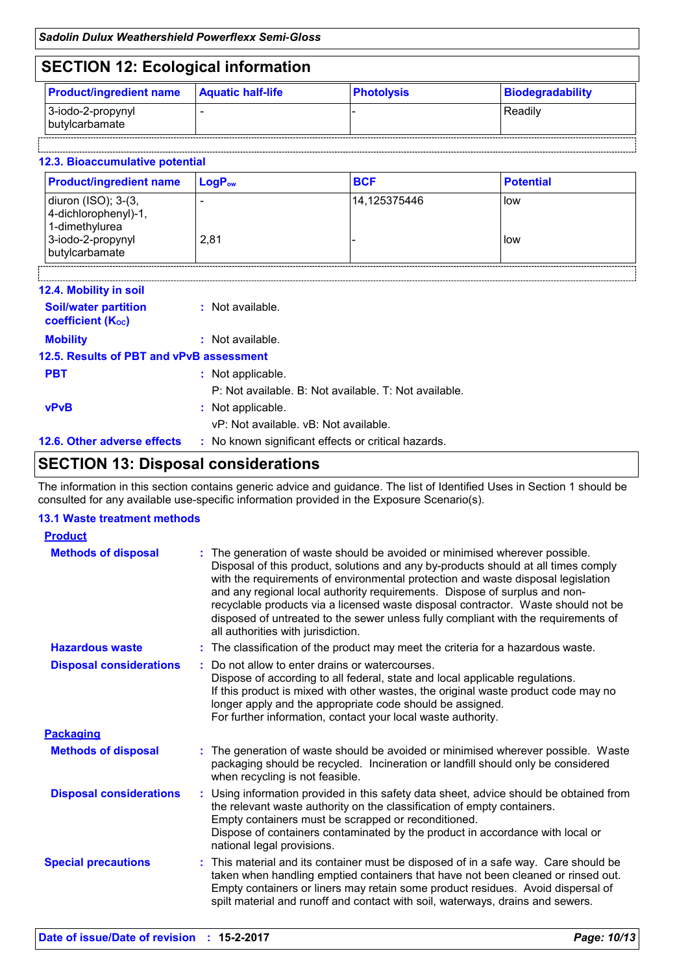## **SECTION 12: Ecological information**

| ----                                |                          |                   |                  |
|-------------------------------------|--------------------------|-------------------|------------------|
| <b>Product/ingredient name</b>      | <b>Aquatic half-life</b> | <b>Photolysis</b> | Biodegradability |
| 3-iodo-2-propynyl<br>butylcarbamate | -                        |                   | Readily          |

#### **12.3. Bioaccumulative potential**

| <b>Product/ingredient name</b>                                                                       | LogP <sub>ow</sub> | <b>BCF</b>   | <b>Potential</b> |
|------------------------------------------------------------------------------------------------------|--------------------|--------------|------------------|
| diuron (ISO); 3-(3,<br>4-dichlorophenyl)-1,<br>1-dimethylurea<br>3-iodo-2-propynyl<br>butylcarbamate | 2.81               | 14.125375446 | low<br>low       |
|                                                                                                      |                    |              |                  |

| 12.4. Mobility in soil                                  |                                                       |
|---------------------------------------------------------|-------------------------------------------------------|
| <b>Soil/water partition</b><br><b>coefficient (Koc)</b> | : Not available.                                      |
| <b>Mobility</b>                                         | : Not available.                                      |
| 12.5. Results of PBT and vPvB assessment                |                                                       |
| <b>PBT</b>                                              | : Not applicable.                                     |
|                                                         | P: Not available. B: Not available. T: Not available. |
| <b>vPvB</b>                                             | : Not applicable.                                     |
|                                                         | vP: Not available. vB: Not available.                 |
| 12.6. Other adverse effects                             | : No known significant effects or critical hazards.   |

### **SECTION 13: Disposal considerations**

The information in this section contains generic advice and guidance. The list of Identified Uses in Section 1 should be consulted for any available use-specific information provided in the Exposure Scenario(s).

#### **13.1 Waste treatment methods**

| <b>Product</b>                 |                                                                                                                                                                                                                                                                                                                                                                                                                                                                                                                                                      |  |
|--------------------------------|------------------------------------------------------------------------------------------------------------------------------------------------------------------------------------------------------------------------------------------------------------------------------------------------------------------------------------------------------------------------------------------------------------------------------------------------------------------------------------------------------------------------------------------------------|--|
| <b>Methods of disposal</b>     | : The generation of waste should be avoided or minimised wherever possible.<br>Disposal of this product, solutions and any by-products should at all times comply<br>with the requirements of environmental protection and waste disposal legislation<br>and any regional local authority requirements. Dispose of surplus and non-<br>recyclable products via a licensed waste disposal contractor. Waste should not be<br>disposed of untreated to the sewer unless fully compliant with the requirements of<br>all authorities with jurisdiction. |  |
| <b>Hazardous waste</b>         | : The classification of the product may meet the criteria for a hazardous waste.                                                                                                                                                                                                                                                                                                                                                                                                                                                                     |  |
| <b>Disposal considerations</b> | Do not allow to enter drains or watercourses.<br>Dispose of according to all federal, state and local applicable regulations.<br>If this product is mixed with other wastes, the original waste product code may no<br>longer apply and the appropriate code should be assigned.<br>For further information, contact your local waste authority.                                                                                                                                                                                                     |  |
| <b>Packaging</b>               |                                                                                                                                                                                                                                                                                                                                                                                                                                                                                                                                                      |  |
| <b>Methods of disposal</b>     | : The generation of waste should be avoided or minimised wherever possible. Waste<br>packaging should be recycled. Incineration or landfill should only be considered<br>when recycling is not feasible.                                                                                                                                                                                                                                                                                                                                             |  |
| <b>Disposal considerations</b> | Using information provided in this safety data sheet, advice should be obtained from<br>the relevant waste authority on the classification of empty containers.<br>Empty containers must be scrapped or reconditioned.<br>Dispose of containers contaminated by the product in accordance with local or<br>national legal provisions.                                                                                                                                                                                                                |  |
| <b>Special precautions</b>     | : This material and its container must be disposed of in a safe way. Care should be<br>taken when handling emptied containers that have not been cleaned or rinsed out.<br>Empty containers or liners may retain some product residues. Avoid dispersal of<br>spilt material and runoff and contact with soil, waterways, drains and sewers.                                                                                                                                                                                                         |  |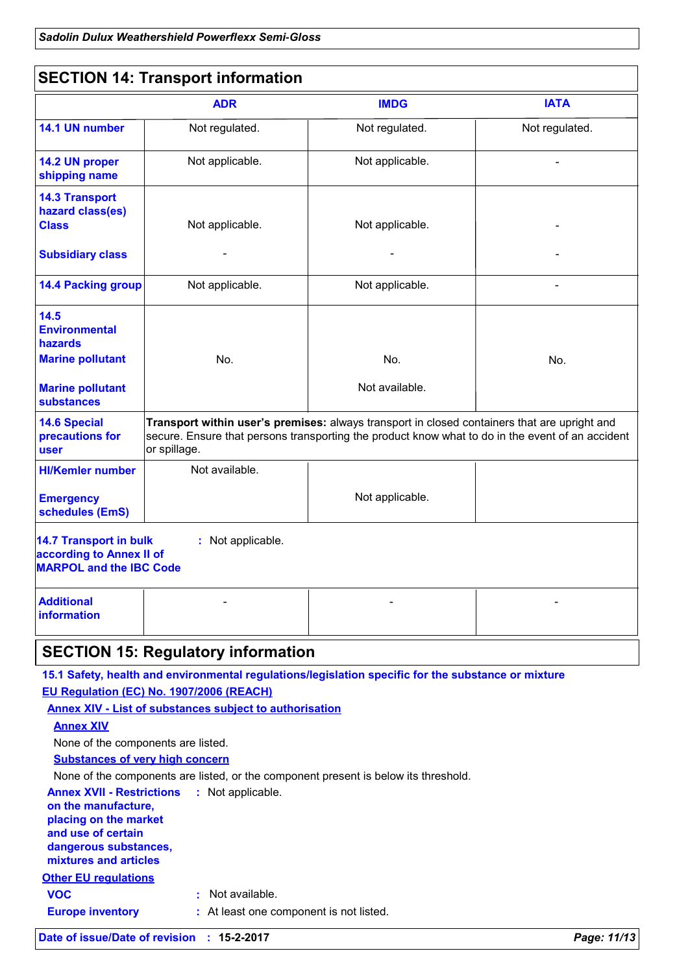### **SECTION 14: Transport information**

| Not regulated.<br>Not applicable.<br>Not applicable.                            | Not regulated.<br>Not applicable. | Not regulated.                                                                                                                                                                                                                                |
|---------------------------------------------------------------------------------|-----------------------------------|-----------------------------------------------------------------------------------------------------------------------------------------------------------------------------------------------------------------------------------------------|
|                                                                                 |                                   |                                                                                                                                                                                                                                               |
|                                                                                 |                                   |                                                                                                                                                                                                                                               |
|                                                                                 |                                   |                                                                                                                                                                                                                                               |
|                                                                                 | Not applicable.                   |                                                                                                                                                                                                                                               |
|                                                                                 |                                   |                                                                                                                                                                                                                                               |
| Not applicable.                                                                 | Not applicable.                   |                                                                                                                                                                                                                                               |
|                                                                                 |                                   |                                                                                                                                                                                                                                               |
| No.                                                                             | No.                               | No.                                                                                                                                                                                                                                           |
|                                                                                 | Not available.                    |                                                                                                                                                                                                                                               |
| or spillage.                                                                    |                                   |                                                                                                                                                                                                                                               |
| Not available.                                                                  |                                   |                                                                                                                                                                                                                                               |
|                                                                                 | Not applicable.                   |                                                                                                                                                                                                                                               |
| : Not applicable.<br>according to Annex II of<br><b>MARPOL and the IBC Code</b> |                                   |                                                                                                                                                                                                                                               |
|                                                                                 |                                   |                                                                                                                                                                                                                                               |
|                                                                                 |                                   | Transport within user's premises: always transport in closed containers that are upright and<br>secure. Ensure that persons transporting the product know what to do in the event of an accident<br><b>SECTION 15: Regulatory information</b> |

**EU Regulation (EC) No. 1907/2006 (REACH)**

**Annex XIV - List of substances subject to authorisation**

**Annex XIV**

None of the components are listed.

**Substances of very high concern**

None of the components are listed, or the component present is below its threshold.

**Other EU regulations Annex XVII - Restrictions : Not applicable. on the manufacture, placing on the market and use of certain dangerous substances, mixtures and articles Europe inventory :** At least one component is not listed. **VOC :** Not available.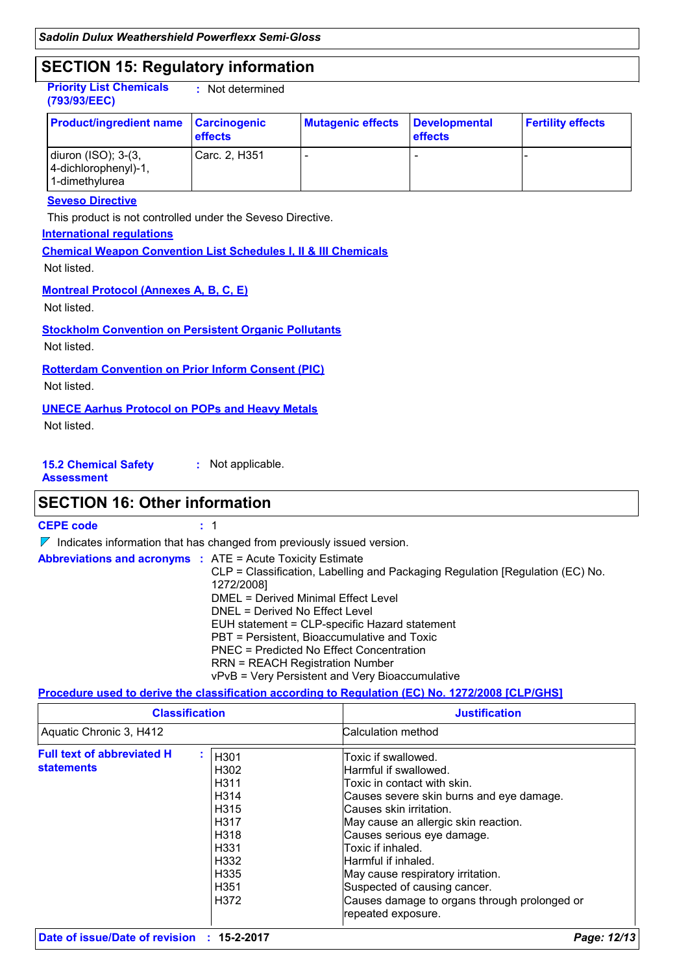### **SECTION 15: Regulatory information**

**Priority List Chemicals (793/93/EEC) :** Not determined

| <b>Product/ingredient name</b>                                                 | Carcinogenic<br>effects | <b>Mutagenic effects</b> | Developmental<br><b>effects</b> | <b>Fertility effects</b> |
|--------------------------------------------------------------------------------|-------------------------|--------------------------|---------------------------------|--------------------------|
| diuron $(ISO)$ ; 3- $(3, 1)$<br>$ 4$ -dichlorophenyl $)$ -1,<br>1-dimethylurea | Carc. 2, H351           |                          |                                 |                          |

#### **Seveso Directive**

This product is not controlled under the Seveso Directive.

#### **International regulations**

**Chemical Weapon Convention List Schedules I, II & III Chemicals** Not listed.

**Montreal Protocol (Annexes A, B, C, E)**

Not listed.

**Stockholm Convention on Persistent Organic Pollutants**

Not listed.

**Rotterdam Convention on Prior Inform Consent (PIC)**

Not listed.

### **UNECE Aarhus Protocol on POPs and Heavy Metals**

Not listed.

**15.2 Chemical Safety Assessment :** Not applicable.

### **SECTION 16: Other information**

**CEPE code :** 1

 $\nabla$  Indicates information that has changed from previously issued version.

| <b>Abbreviations and acronyms : ATE = Acute Toxicity Estimate</b> | CLP = Classification, Labelling and Packaging Regulation [Regulation (EC) No.<br>1272/2008]<br>DMEL = Derived Minimal Effect Level<br>DNEL = Derived No Effect Level<br>EUH statement = CLP-specific Hazard statement<br>PBT = Persistent, Bioaccumulative and Toxic<br>PNEC = Predicted No Effect Concentration |
|-------------------------------------------------------------------|------------------------------------------------------------------------------------------------------------------------------------------------------------------------------------------------------------------------------------------------------------------------------------------------------------------|
|                                                                   | <b>RRN = REACH Registration Number</b><br>vPvB = Very Persistent and Very Bioaccumulative                                                                                                                                                                                                                        |

#### **Procedure used to derive the classification according to Regulation (EC) No. 1272/2008 [CLP/GHS]**

| <b>Classification</b>                                  |                                                                                                                                                                                              | <b>Justification</b>                                                                                                                                                                                                                                                                                                                                                                                            |
|--------------------------------------------------------|----------------------------------------------------------------------------------------------------------------------------------------------------------------------------------------------|-----------------------------------------------------------------------------------------------------------------------------------------------------------------------------------------------------------------------------------------------------------------------------------------------------------------------------------------------------------------------------------------------------------------|
| Aquatic Chronic 3, H412                                |                                                                                                                                                                                              | Calculation method                                                                                                                                                                                                                                                                                                                                                                                              |
| <b>Full text of abbreviated H</b><br><b>statements</b> | H <sub>301</sub><br>H302<br>H <sub>311</sub><br>H314<br>H <sub>315</sub><br>H <sub>317</sub><br>H <sub>318</sub><br>H <sub>331</sub><br>H <sub>332</sub><br>H335<br>H <sub>351</sub><br>H372 | Toxic if swallowed.<br>Harmful if swallowed.<br>Toxic in contact with skin.<br>Causes severe skin burns and eye damage.<br>Causes skin irritation.<br>May cause an allergic skin reaction.<br>Causes serious eye damage.<br>Toxic if inhaled.<br>Harmful if inhaled.<br>May cause respiratory irritation.<br>Suspected of causing cancer.<br>Causes damage to organs through prolonged or<br>repeated exposure. |